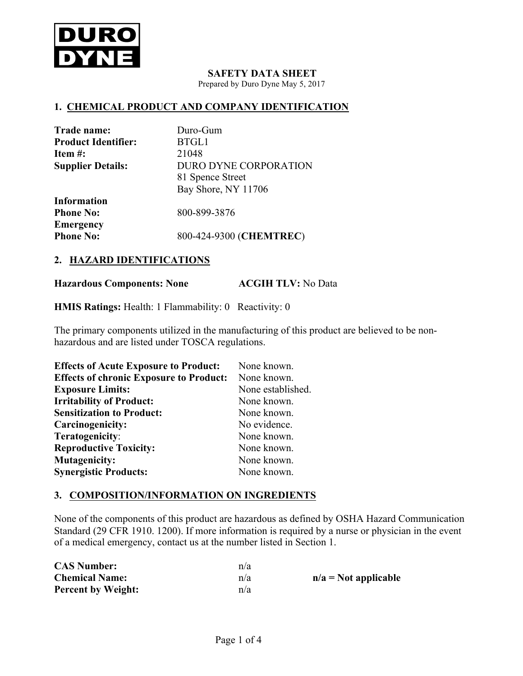

#### **SAFETY DATA SHEET**

Prepared by Duro Dyne May 5, 2017

#### **1. CHEMICAL PRODUCT AND COMPANY IDENTIFICATION**

| Trade name:                | Duro-Gum                     |
|----------------------------|------------------------------|
| <b>Product Identifier:</b> | BTGL1                        |
| Item $#$ :                 | 21048                        |
| <b>Supplier Details:</b>   | <b>DURO DYNE CORPORATION</b> |
|                            | 81 Spence Street             |
|                            | Bay Shore, NY 11706          |
| <b>Information</b>         |                              |
| <b>Phone No:</b>           | 800-899-3876                 |
| <b>Emergency</b>           |                              |
| <b>Phone No:</b>           | 800-424-9300 (CHEMTREC)      |

### **2. HAZARD IDENTIFICATIONS**

**Hazardous Components: None ACGIH TLV:** No Data

**HMIS Ratings:** Health: 1 Flammability: 0Reactivity: 0

The primary components utilized in the manufacturing of this product are believed to be nonhazardous and are listed under TOSCA regulations.

| <b>Effects of Acute Exposure to Product:</b>   | None known.       |
|------------------------------------------------|-------------------|
| <b>Effects of chronic Exposure to Product:</b> | None known.       |
| <b>Exposure Limits:</b>                        | None established. |
| <b>Irritability of Product:</b>                | None known.       |
| <b>Sensitization to Product:</b>               | None known.       |
| Carcinogenicity:                               | No evidence.      |
| Teratogenicity:                                | None known.       |
| <b>Reproductive Toxicity:</b>                  | None known.       |
| <b>Mutagenicity:</b>                           | None known.       |
| <b>Synergistic Products:</b>                   | None known.       |

### **3. COMPOSITION/INFORMATION ON INGREDIENTS**

None of the components of this product are hazardous as defined by OSHA Hazard Communication Standard (29 CFR 1910. 1200). If more information is required by a nurse or physician in the event of a medical emergency, contact us at the number listed in Section 1.

| <b>CAS Number:</b>        | n/a |                        |
|---------------------------|-----|------------------------|
| <b>Chemical Name:</b>     | n/a | $n/a = Not$ applicable |
| <b>Percent by Weight:</b> | n/a |                        |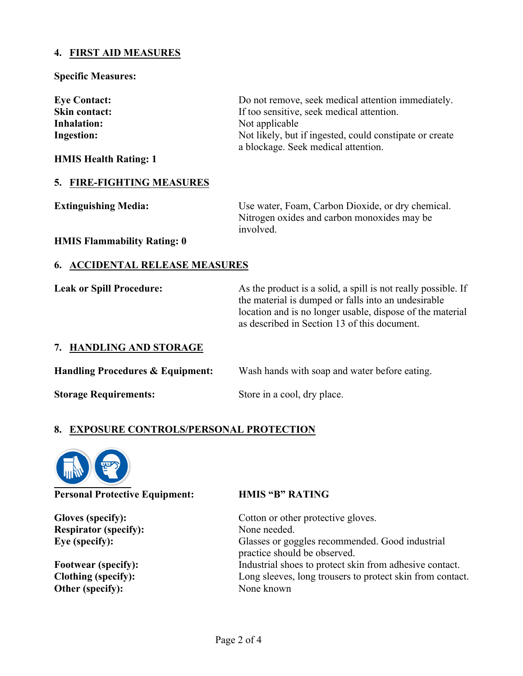# **4. FIRST AID MEASURES**

#### **Specific Measures:**

| <b>Eye Contact:</b>          | Do not remove, seek medical attention immediately.                                             |
|------------------------------|------------------------------------------------------------------------------------------------|
| Skin contact:                | If too sensitive, seek medical attention.                                                      |
| <b>Inhalation:</b>           | Not applicable                                                                                 |
| Ingestion:                   | Not likely, but if ingested, could constipate or create<br>a blockage. Seek medical attention. |
| <b>HMIS Health Rating: 1</b> |                                                                                                |

# **5. FIRE-FIGHTING MEASURES**

| <b>Extinguishing Media:</b> | Use water, Foam, Carbon Dioxide, or dry chemical. |
|-----------------------------|---------------------------------------------------|
|                             | Nitrogen oxides and carbon monoxides may be       |
|                             | involved.                                         |

**HMIS Flammability Rating: 0**

## **6. ACCIDENTAL RELEASE MEASURES**

**Leak or Spill Procedure:** As the product is a solid, a spill is not really possible. If the material is dumped or falls into an undesirable location and is no longer usable, dispose of the material as described in Section 13 of this document.

### **7. HANDLING AND STORAGE**

**Handling Procedures & Equipment:** Wash hands with soap and water before eating. **Storage Requirements:** Store in a cool, dry place.

# **8. EXPOSURE CONTROLS/PERSONAL PROTECTION**



**Personal Protective Equipment: HMIS "B" RATING**

**Respirator (specify):** None needed.

**Other (specify):** None known

Gloves (specify): Cotton or other protective gloves. **Eye (specify):** Glasses or goggles recommended. Good industrial practice should be observed. **Footwear (specify):** Industrial shoes to protect skin from adhesive contact. **Clothing (specify):** Long sleeves, long trousers to protect skin from contact.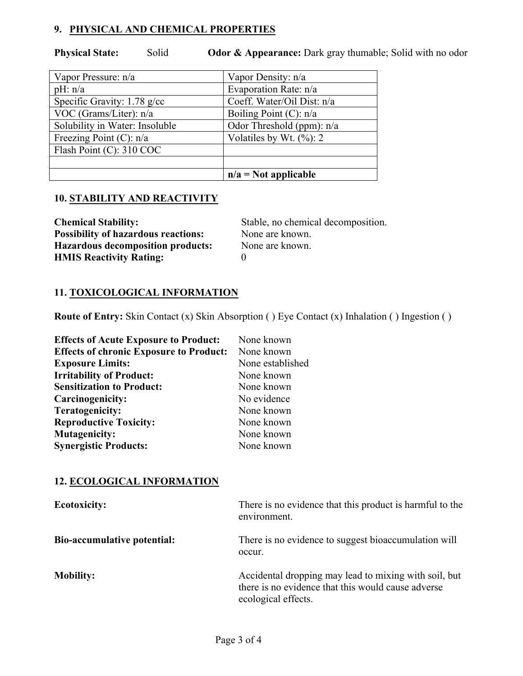# **9. PHYSICAL AND CHEMICAL PROPERTIES**

**Physical State:** Solid **Odor & Appearance:** Dark gray thumable; Solid with no odor

| Vapor Pressure: n/a            | Vapor Density: n/a          |
|--------------------------------|-----------------------------|
| pH: n/a                        | Evaporation Rate: n/a       |
| Specific Gravity: $1.78$ g/cc  | Coeff. Water/Oil Dist: n/a  |
| VOC (Grams/Liter): n/a         | Boiling Point $(C)$ : n/a   |
| Solubility in Water: Insoluble | Odor Threshold (ppm): $n/a$ |
| Freezing Point $(C)$ : n/a     | Volatiles by Wt. $(\%): 2$  |
| Flash Point (C): 310 COC       |                             |
|                                |                             |
|                                | $n/a = Not$ applicable      |

# **10. STABILITY AND REACTIVITY**

| <b>Chemical Stability:</b>                 | Stable, no chemical decomposition. |
|--------------------------------------------|------------------------------------|
| <b>Possibility of hazardous reactions:</b> | None are known.                    |
| <b>Hazardous decomposition products:</b>   | None are known.                    |
| <b>HMIS Reactivity Rating:</b>             |                                    |

# **11. TOXICOLOGICAL INFORMATION**

**Route of Entry:** Skin Contact (x) Skin Absorption ( ) Eye Contact (x) Inhalation ( ) Ingestion ( )

| <b>Effects of Acute Exposure to Product:</b>   | None known       |
|------------------------------------------------|------------------|
| <b>Effects of chronic Exposure to Product:</b> | None known       |
| <b>Exposure Limits:</b>                        | None established |
| <b>Irritability of Product:</b>                | None known       |
| <b>Sensitization to Product:</b>               | None known       |
| Carcinogenicity:                               | No evidence      |
| Teratogenicity:                                | None known       |
| <b>Reproductive Toxicity:</b>                  | None known       |
| <b>Mutagenicity:</b>                           | None known       |
| <b>Synergistic Products:</b>                   | None known       |

# **12. ECOLOGICAL INFORMATION**

| <b>Ecotoxicity:</b>                | There is no evidence that this product is harmful to the<br>environment.                                                           |
|------------------------------------|------------------------------------------------------------------------------------------------------------------------------------|
| <b>Bio-accumulative potential:</b> | There is no evidence to suggest bioaccumulation will<br>occur.                                                                     |
| <b>Mobility:</b>                   | Accidental dropping may lead to mixing with soil, but<br>there is no evidence that this would cause adverse<br>ecological effects. |